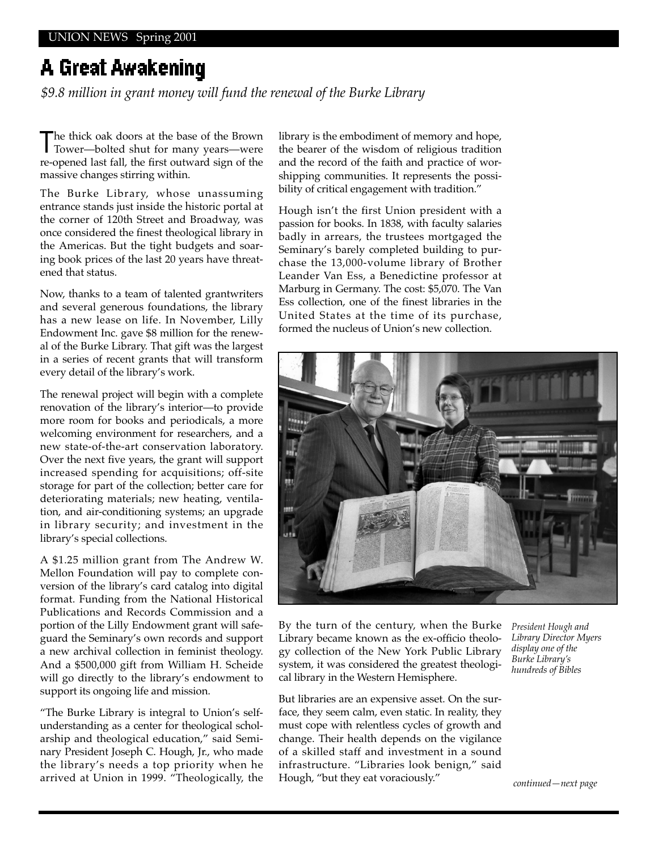# A Great Awakening

*\$9.8 million in grant money will fund the renewal of the Burke Library*

The thick oak doors at the base of the Brown Tower—bolted shut for many years—were re-opened last fall, the first outward sign of the massive changes stirring within.

The Burke Library, whose unassuming entrance stands just inside the historic portal at the corner of 120th Street and Broadway, was once considered the finest theological library in the Americas. But the tight budgets and soaring book prices of the last 20 years have threatened that status.

Now, thanks to a team of talented grantwriters and several generous foundations, the library has a new lease on life. In November, Lilly Endowment Inc. gave \$8 million for the renewal of the Burke Library. That gift was the largest in a series of recent grants that will transform every detail of the library's work.

The renewal project will begin with a complete renovation of the library's interior—to provide more room for books and periodicals, a more welcoming environment for researchers, and a new state-of-the-art conservation laboratory. Over the next five years, the grant will support increased spending for acquisitions; off-site storage for part of the collection; better care for deteriorating materials; new heating, ventilation, and air-conditioning systems; an upgrade in library security; and investment in the library's special collections.

A \$1.25 million grant from The Andrew W. Mellon Foundation will pay to complete conversion of the library's card catalog into digital format. Funding from the National Historical Publications and Records Commission and a portion of the Lilly Endowment grant will safeguard the Seminary's own records and support a new archival collection in feminist theology. And a \$500,000 gift from William H. Scheide will go directly to the library's endowment to support its ongoing life and mission.

"The Burke Library is integral to Union's selfunderstanding as a center for theological scholarship and theological education," said Seminary President Joseph C. Hough, Jr., who made the library's needs a top priority when he arrived at Union in 1999. "Theologically, the

library is the embodiment of memory and hope, the bearer of the wisdom of religious tradition and the record of the faith and practice of worshipping communities. It represents the possibility of critical engagement with tradition."

Hough isn't the first Union president with a passion for books. In 1838, with faculty salaries badly in arrears, the trustees mortgaged the Seminary's barely completed building to purchase the 13,000-volume library of Brother Leander Van Ess, a Benedictine professor at Marburg in Germany. The cost: \$5,070. The Van Ess collection, one of the finest libraries in the United States at the time of its purchase, formed the nucleus of Union's new collection.



By the turn of the century, when the Burke Library became known as the ex-officio theology collection of the New York Public Library system, it was considered the greatest theological library in the Western Hemisphere.

But libraries are an expensive asset. On the surface, they seem calm, even static. In reality, they must cope with relentless cycles of growth and change. Their health depends on the vigilance of a skilled staff and investment in a sound infrastructure. "Libraries look benign," said Hough, "but they eat voraciously."

*President Hough and Library Director Myers display one of the Burke Library's hundreds of Bibles*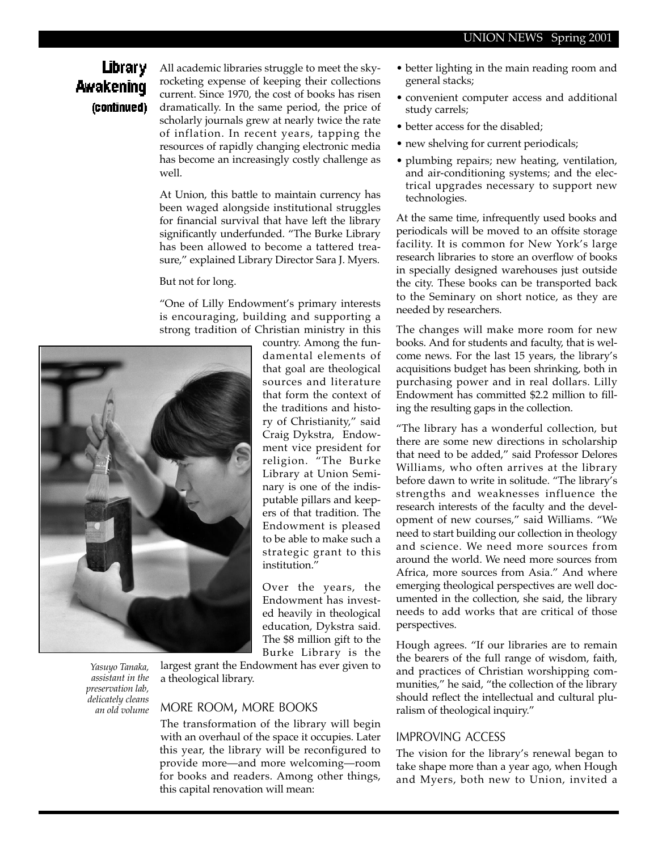### **Library** Awakening (continued)

All academic libraries struggle to meet the skyrocketing expense of keeping their collections current. Since 1970, the cost of books has risen dramatically. In the same period, the price of scholarly journals grew at nearly twice the rate of inflation. In recent years, tapping the resources of rapidly changing electronic media has become an increasingly costly challenge as well.

At Union, this battle to maintain currency has been waged alongside institutional struggles for financial survival that have left the library significantly underfunded. "The Burke Library has been allowed to become a tattered treasure," explained Library Director Sara J. Myers.

#### But not for long.

"One of Lilly Endowment's primary interests is encouraging, building and supporting a strong tradition of Christian ministry in this



*Yasuyo Tanaka, assistant in the preservation lab, delicately cleans an old volume* 

country. Among the fundamental elements of that goal are theological sources and literature that form the context of the traditions and history of Christianity," said Craig Dykstra, Endowment vice president for religion. "The Burke Library at Union Seminary is one of the indisputable pillars and keepers of that tradition. The Endowment is pleased to be able to make such a strategic grant to this institution."

Over the years, the Endowment has invested heavily in theological education, Dykstra said. The \$8 million gift to the Burke Library is the

largest grant the Endowment has ever given to a theological library.

#### MORE ROOM, MORE BOOKS

The transformation of the library will begin with an overhaul of the space it occupies. Later this year, the library will be reconfigured to provide more—and more welcoming—room for books and readers. Among other things, this capital renovation will mean:

- better lighting in the main reading room and general stacks;
- convenient computer access and additional study carrels;
- better access for the disabled;
- new shelving for current periodicals;
- plumbing repairs; new heating, ventilation, and air-conditioning systems; and the electrical upgrades necessary to support new technologies.

At the same time, infrequently used books and periodicals will be moved to an offsite storage facility. It is common for New York's large research libraries to store an overflow of books in specially designed warehouses just outside the city. These books can be transported back to the Seminary on short notice, as they are needed by researchers.

The changes will make more room for new books. And for students and faculty, that is welcome news. For the last 15 years, the library's acquisitions budget has been shrinking, both in purchasing power and in real dollars. Lilly Endowment has committed \$2.2 million to filling the resulting gaps in the collection.

"The library has a wonderful collection, but there are some new directions in scholarship that need to be added," said Professor Delores Williams, who often arrives at the library before dawn to write in solitude. "The library's strengths and weaknesses influence the research interests of the faculty and the development of new courses," said Williams. "We need to start building our collection in theology and science. We need more sources from around the world. We need more sources from Africa, more sources from Asia." And where emerging theological perspectives are well documented in the collection, she said, the library needs to add works that are critical of those perspectives.

Hough agrees. "If our libraries are to remain the bearers of the full range of wisdom, faith, and practices of Christian worshipping communities," he said, "the collection of the library should reflect the intellectual and cultural pluralism of theological inquiry."

#### IMPROVING ACCESS

The vision for the library's renewal began to take shape more than a year ago, when Hough and Myers, both new to Union, invited a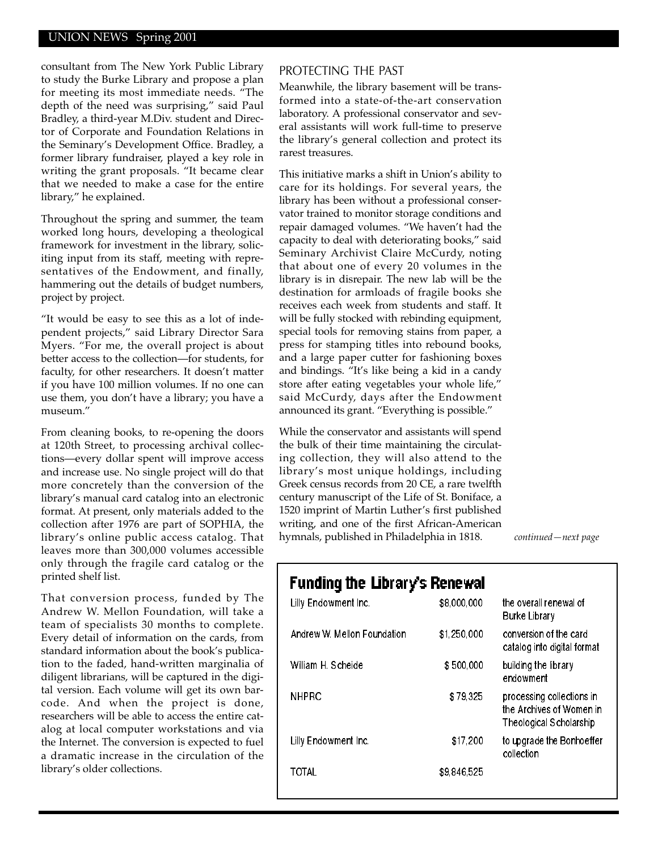#### UNION NEWS Spring 2001

consultant from The New York Public Library to study the Burke Library and propose a plan for meeting its most immediate needs. "The depth of the need was surprising," said Paul Bradley, a third-year M.Div. student and Director of Corporate and Foundation Relations in the Seminary's Development Office. Bradley, a former library fundraiser, played a key role in writing the grant proposals. "It became clear that we needed to make a case for the entire library," he explained.

Throughout the spring and summer, the team worked long hours, developing a theological framework for investment in the library, soliciting input from its staff, meeting with representatives of the Endowment, and finally, hammering out the details of budget numbers, project by project.

"It would be easy to see this as a lot of independent projects," said Library Director Sara Myers. "For me, the overall project is about better access to the collection—for students, for faculty, for other researchers. It doesn't matter if you have 100 million volumes. If no one can use them, you don't have a library; you have a museum."

From cleaning books, to re-opening the doors at 120th Street, to processing archival collections—every dollar spent will improve access and increase use. No single project will do that more concretely than the conversion of the library's manual card catalog into an electronic format. At present, only materials added to the collection after 1976 are part of SOPHIA, the library's online public access catalog. That leaves more than 300,000 volumes accessible only through the fragile card catalog or the printed shelf list.

That conversion process, funded by The Andrew W. Mellon Foundation, will take a team of specialists 30 months to complete. Every detail of information on the cards, from standard information about the book's publication to the faded, hand-written marginalia of diligent librarians, will be captured in the digital version. Each volume will get its own barcode. And when the project is done, researchers will be able to access the entire catalog at local computer workstations and via the Internet. The conversion is expected to fuel a dramatic increase in the circulation of the library's older collections.

#### PROTECTING THE PAST

Meanwhile, the library basement will be transformed into a state-of-the-art conservation laboratory. A professional conservator and several assistants will work full-time to preserve the library's general collection and protect its rarest treasures.

This initiative marks a shift in Union's ability to care for its holdings. For several years, the library has been without a professional conservator trained to monitor storage conditions and repair damaged volumes. "We haven't had the capacity to deal with deteriorating books," said Seminary Archivist Claire McCurdy, noting that about one of every 20 volumes in the library is in disrepair. The new lab will be the destination for armloads of fragile books she receives each week from students and staff. It will be fully stocked with rebinding equipment, special tools for removing stains from paper, a press for stamping titles into rebound books, and a large paper cutter for fashioning boxes and bindings. "It's like being a kid in a candy store after eating vegetables your whole life," said McCurdy, days after the Endowment announced its grant. "Everything is possible."

While the conservator and assistants will spend the bulk of their time maintaining the circulating collection, they will also attend to the library's most unique holdings, including Greek census records from 20 CE, a rare twelfth century manuscript of the Life of St. Boniface, a 1520 imprint of Martin Luther's first published writing, and one of the first African-American hymnals, published in Philadelphia in 1818.

*continued—next page* 

### Funding the Library's Renewal

| Lilly Endowment Inc.        | \$8,000,000 | the overall renewal of<br>Burke Library                                                 |
|-----------------------------|-------------|-----------------------------------------------------------------------------------------|
| Andrew W. Mellon Foundation | \$1,250,000 | conversion of the card<br>catalog into digital format                                   |
| William H. Scheide          | \$500,000   | building the library<br>endowment                                                       |
| <b>NHPRC</b>                | \$79,325    | processing collections in<br>the Archives of Women in<br><b>Theological Scholarship</b> |
| Lilly Endowment Inc.        | \$17,200    | to upgrade the Bonhoeffer<br>collection                                                 |
| TOTAL                       | \$9,846,525 |                                                                                         |